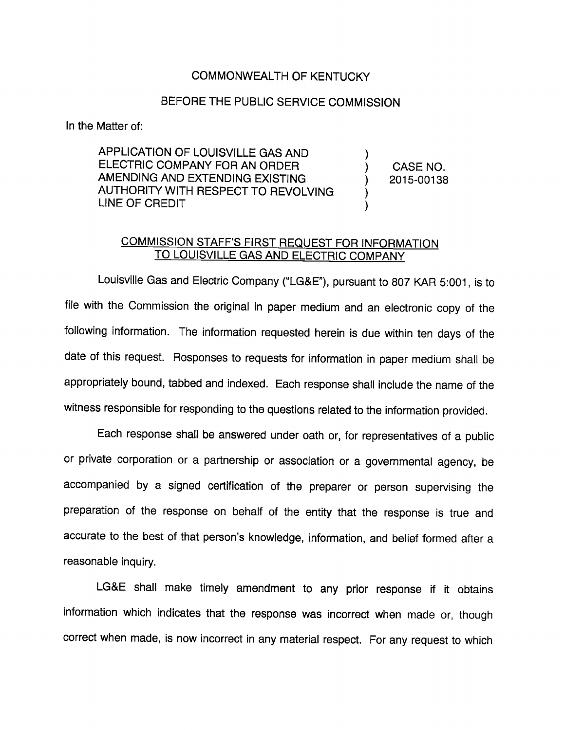## COMMONWEALTH OF KENTUCKY

## BEFORE THE PUBLIC SERVICE COMMISSION

In the Matter of:

APPLICATION OF LOUISVILLE GAS AND ELECTRIC COMPANY FOR AN ORDER AMENDING AND EXTENDING EXISTING AUTHORITY WITH RESPECT TO REVOLVING LINE OF CREDIT

CASE NO. 2015-00138

## COMMISSION STAFF'S FIRST REQUEST FOR INFORMATION TO LOUISVILLE GAS AND ELECTRIC COMPANY

Louisville Gas and Electric Company ("LG&E"), pursuant to 807 KAR 5:001, is to file with the Commission the original in paper medium and an electronic copy of the following information. The information requested herein is due within ten days of the date of this request. Responses to requests for information in paper medium shall be appropriately bound, tabbed and indexed. Each response shall include the name of the witness responsible for responding to the questions related to the information provided.

Each response shall be answered under oath or, for representatives of a public or private corporation or a partnership or association or a govemmental agency, be accompanied by a signed certification of the preparer or person supervising the preparation of the response on behalf of the entity that the response is true and accurate to the best of that person's knowledge, information, and belief formed after a reasonable inquiry.

LG&E shall make timely amendment to any prior response if it obtains information which indicates that the response was incorrect when made or, though correct when made, is now incorrect in any material respect. For any request to which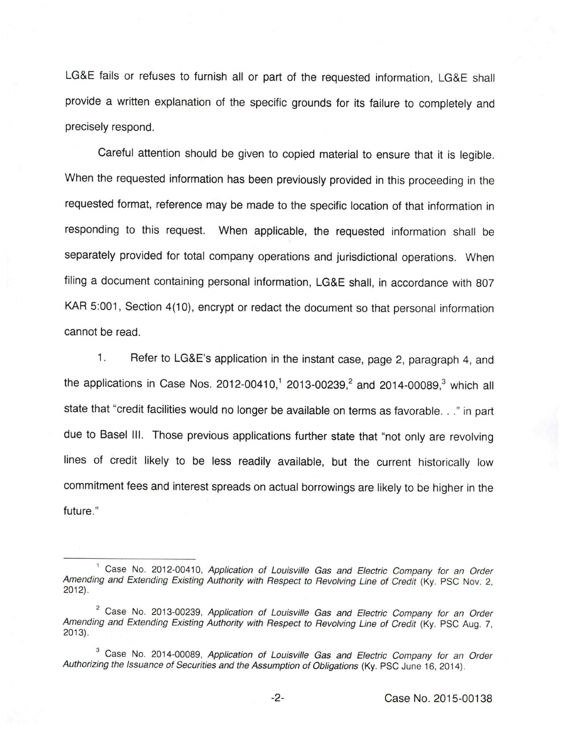LG&E fails or refuses to furnish all or part of the requested information, LG&E shall provide a written explanation of the specific grounds for its failure to completely and precisely respond.

Careful attention should be given to copied material to ensure that it is legible. When the requested information has been previously provided in this proceeding in the requested format, reference may be made to the specific location of that information in responding to this request. When applicable, the requested information shall be separately provided for total company operations and jurisdictional operations. When filing a document containing personal information, LG&E shall, in accordance with 807 KAR 5:001, Section 4(10), encrypt or redact the document so that personal information cannot be read.

1. Refer to LG&E's application in the instant case, page 2, paragraph 4, and the applications in Case Nos. 2012-00410,<sup>1</sup> 2013-00239,<sup>2</sup> and 2014-00089,<sup>3</sup> which all state that "credit facilities would no longer be available on terms as favorable. . ." in part due to Basel III. Those previous applications further state that "not only are revolving lines of credit likely to be less readily available, but the current historically low commitment fees and interest spreads on actual borrowings are likely to be higher in the future."

<sup>&</sup>lt;sup>1</sup> Case No. 2012-00410, Application of Louisville Gas and Electric Company for an Order Amending and Extending Existing Authority with Respect to Revolving Line of Credit (Ky. PSC Nov. 2, 2012).

 $2^$  Case No. 2013-00239, Application of Louisville Gas and Electric Company for an Order Amending and Extending Existing Authority with Respect to Revolving Line of Credit (Ky. PSC Aug. 7, 2013).

<sup>&</sup>lt;sup>3</sup> Case No. 2014-00089, Application of Louisville Gas and Electric Company for an Order Authorizing the Issuance of Securities and the Assumption of Obligations (Ky. PSC June 16, 2014).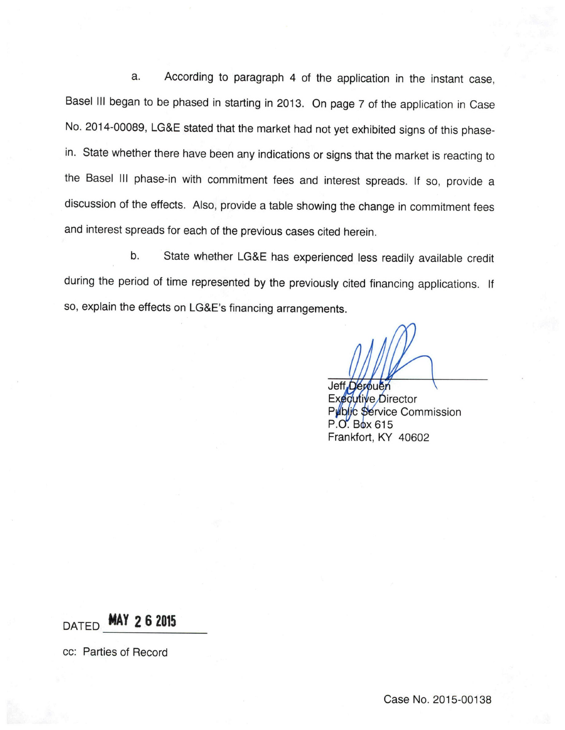a. According to paragraph 4 of the application in the instant case, Basel III began to be phased in starting in 2013. On page 7 of the application in Case No. 2014-00089, LG&E stated that the market had not yet exhibited signs of this phasein. State whether there have been any indications or signs that the market is reacting to the Basel III phase-in with commitment fees and interest spreads. If so, provide a discussion of the effects. Also, provide a table showing the change in commitment fees and interest spreads for each of the previous cases cited herein.

b. State whether LG&E has experienced less readily available credit during the period of time represented by the previously cited financing applications. If so, explain the effects on LG&E's financing arrangements.

Jeff Derbuen Excoutive Director Public Service Commission P.O. Box 615 Frankfort, KY 40602

 $DATAZ$  6 2015

cc: Parties of Record